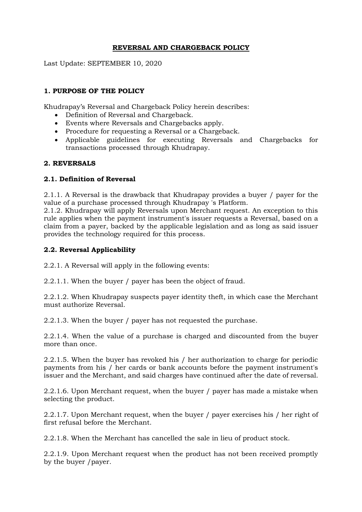## **REVERSAL AND CHARGEBACK POLICY**

Last Update: SEPTEMBER 10, 2020

# **1. PURPOSE OF THE POLICY**

Khudrapay's Reversal and Chargeback Policy herein describes:

- Definition of Reversal and Chargeback.
- Events where Reversals and Chargebacks apply.
- Procedure for requesting a Reversal or a Chargeback.
- Applicable guidelines for executing Reversals and Chargebacks for transactions processed through Khudrapay.

#### **2. REVERSALS**

#### **2.1. Definition of Reversal**

2.1.1. A Reversal is the drawback that Khudrapay provides a buyer / payer for the value of a purchase processed through Khudrapay 's Platform.

2.1.2. Khudrapay will apply Reversals upon Merchant request. An exception to this rule applies when the payment instrument's issuer requests a Reversal, based on a claim from a payer, backed by the applicable legislation and as long as said issuer provides the technology required for this process.

#### **2.2. Reversal Applicability**

2.2.1. A Reversal will apply in the following events:

2.2.1.1. When the buyer / payer has been the object of fraud.

2.2.1.2. When Khudrapay suspects payer identity theft, in which case the Merchant must authorize Reversal.

2.2.1.3. When the buyer / payer has not requested the purchase.

2.2.1.4. When the value of a purchase is charged and discounted from the buyer more than once.

2.2.1.5. When the buyer has revoked his / her authorization to charge for periodic payments from his / her cards or bank accounts before the payment instrument's issuer and the Merchant, and said charges have continued after the date of reversal.

2.2.1.6. Upon Merchant request, when the buyer / payer has made a mistake when selecting the product.

2.2.1.7. Upon Merchant request, when the buyer / payer exercises his / her right of first refusal before the Merchant.

2.2.1.8. When the Merchant has cancelled the sale in lieu of product stock.

2.2.1.9. Upon Merchant request when the product has not been received promptly by the buyer /payer.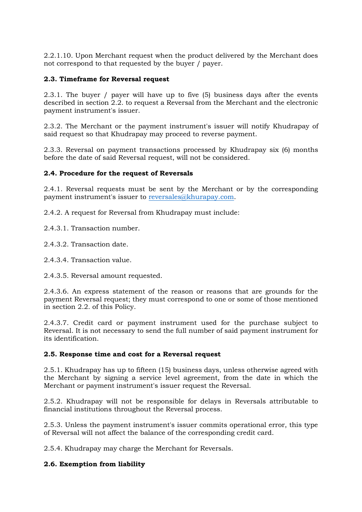2.2.1.10. Upon Merchant request when the product delivered by the Merchant does not correspond to that requested by the buyer / payer.

### **2.3. Timeframe for Reversal request**

2.3.1. The buyer / payer will have up to five (5) business days after the events described in section 2.2. to request a Reversal from the Merchant and the electronic payment instrument's issuer.

2.3.2. The Merchant or the payment instrument's issuer will notify Khudrapay of said request so that Khudrapay may proceed to reverse payment.

2.3.3. Reversal on payment transactions processed by Khudrapay six (6) months before the date of said Reversal request, will not be considered.

### **2.4. Procedure for the request of Reversals**

2.4.1. Reversal requests must be sent by the Merchant or by the corresponding payment instrument's issuer to [reversales@khurapay.com.](mailto:reversales@khurapay.com)

- 2.4.2. A request for Reversal from Khudrapay must include:
- 2.4.3.1. Transaction number.
- 2.4.3.2. Transaction date.
- 2.4.3.4. Transaction value.
- 2.4.3.5. Reversal amount requested.

2.4.3.6. An express statement of the reason or reasons that are grounds for the payment Reversal request; they must correspond to one or some of those mentioned in section 2.2. of this Policy.

2.4.3.7. Credit card or payment instrument used for the purchase subject to Reversal. It is not necessary to send the full number of said payment instrument for its identification.

#### **2.5. Response time and cost for a Reversal request**

2.5.1. Khudrapay has up to fifteen (15) business days, unless otherwise agreed with the Merchant by signing a service level agreement, from the date in which the Merchant or payment instrument's issuer request the Reversal.

2.5.2. Khudrapay will not be responsible for delays in Reversals attributable to financial institutions throughout the Reversal process.

2.5.3. Unless the payment instrument's issuer commits operational error, this type of Reversal will not affect the balance of the corresponding credit card.

2.5.4. Khudrapay may charge the Merchant for Reversals.

#### **2.6. Exemption from liability**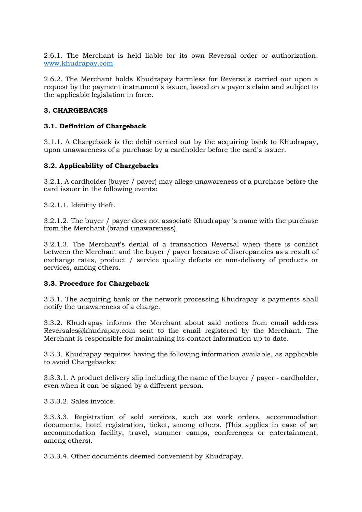2.6.1. The Merchant is held liable for its own Reversal order or authorization. [www.khudrapay.com](http://www.khudrapay.com/)

2.6.2. The Merchant holds Khudrapay harmless for Reversals carried out upon a request by the payment instrument's issuer, based on a payer's claim and subject to the applicable legislation in force.

#### **3. CHARGEBACKS**

#### **3.1. Definition of Chargeback**

3.1.1. A Chargeback is the debit carried out by the acquiring bank to Khudrapay, upon unawareness of a purchase by a cardholder before the card's issuer.

#### **3.2. Applicability of Chargebacks**

3.2.1. A cardholder (buyer / payer) may allege unawareness of a purchase before the card issuer in the following events:

3.2.1.1. Identity theft.

3.2.1.2. The buyer / payer does not associate Khudrapay 's name with the purchase from the Merchant (brand unawareness).

3.2.1.3. The Merchant's denial of a transaction Reversal when there is conflict between the Merchant and the buyer / payer because of discrepancies as a result of exchange rates, product / service quality defects or non-delivery of products or services, among others.

#### **3.3. Procedure for Chargeback**

3.3.1. The acquiring bank or the network processing Khudrapay 's payments shall notify the unawareness of a charge.

3.3.2. Khudrapay informs the Merchant about said notices from email address Reversales@khudrapay.com sent to the email registered by the Merchant. The Merchant is responsible for maintaining its contact information up to date.

3.3.3. Khudrapay requires having the following information available, as applicable to avoid Chargebacks:

3.3.3.1. A product delivery slip including the name of the buyer / payer - cardholder, even when it can be signed by a different person.

3.3.3.2. Sales invoice.

3.3.3.3. Registration of sold services, such as work orders, accommodation documents, hotel registration, ticket, among others. (This applies in case of an accommodation facility, travel, summer camps, conferences or entertainment, among others).

3.3.3.4. Other documents deemed convenient by Khudrapay.